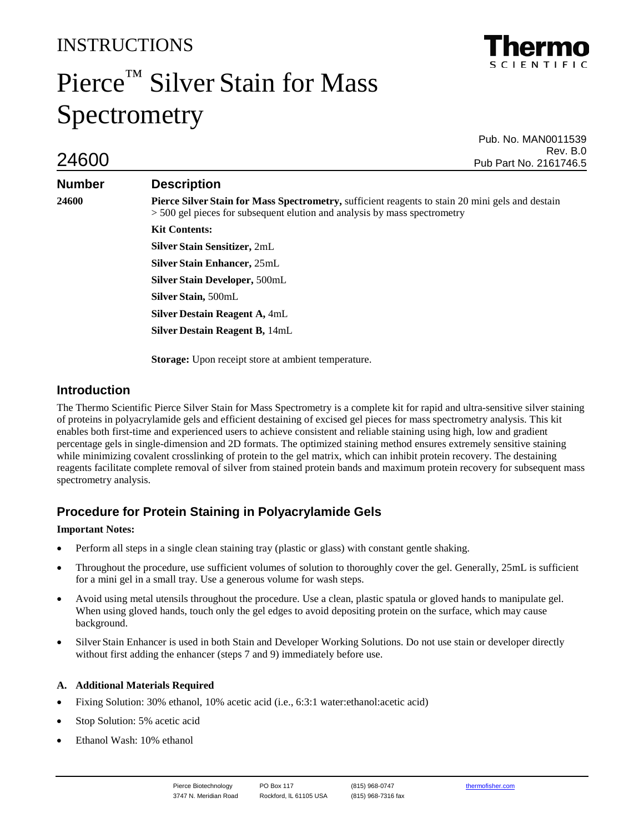# INSTRUCTIONS

# Pierce™ Silver Stain for Mass Spectrometry

Pub. No. MAN0011539 Rev. B.0<br>Rev. B.0 Pub Part No. 2161746.5

# **Number Description**

**24600 Pierce Silver Stain for Mass Spectrometry,** sufficient reagents to stain 20 mini gels and destain > 500 gel pieces for subsequent elution and analysis by mass spectrometry

> **Kit Contents: Silver Stain Sensitizer,** 2mL **Silver Stain Enhancer,** 25mL **Silver Stain Developer,** 500mL **Silver Stain,** 500mL **Silver Destain Reagent A,** 4mL **Silver Destain Reagent B,** 14mL

**Storage:** Upon receipt store at ambient temperature.

# **Introduction**

The Thermo Scientific Pierce Silver Stain for Mass Spectrometry is a complete kit for rapid and ultra-sensitive silver staining of proteins in polyacrylamide gels and efficient destaining of excised gel pieces for mass spectrometry analysis. This kit enables both first-time and experienced users to achieve consistent and reliable staining using high, low and gradient percentage gels in single-dimension and 2D formats. The optimized staining method ensures extremely sensitive staining while minimizing covalent crosslinking of protein to the gel matrix, which can inhibit protein recovery. The destaining reagents facilitate complete removal of silver from stained protein bands and maximum protein recovery for subsequent mass spectrometry analysis.

# **Procedure for Protein Staining in Polyacrylamide Gels**

## **Important Notes:**

- Perform all steps in a single clean staining tray (plastic or glass) with constant gentle shaking.
- Throughout the procedure, use sufficient volumes of solution to thoroughly cover the gel. Generally, 25mL is sufficient for a mini gel in a small tray. Use a generous volume for wash steps.
- Avoid using metal utensils throughout the procedure. Use a clean, plastic spatula or gloved hands to manipulate gel. When using gloved hands, touch only the gel edges to avoid depositing protein on the surface, which may cause background.
- Silver Stain Enhancer is used in both Stain and Developer Working Solutions. Do not use stain or developer directly without first adding the enhancer (steps 7 and 9) immediately before use.

# **A. Additional Materials Required**

- Fixing Solution: 30% ethanol, 10% acetic acid (i.e., 6:3:1 water:ethanol:acetic acid)
- Stop Solution: 5% acetic acid
- Ethanol Wash: 10% ethanol

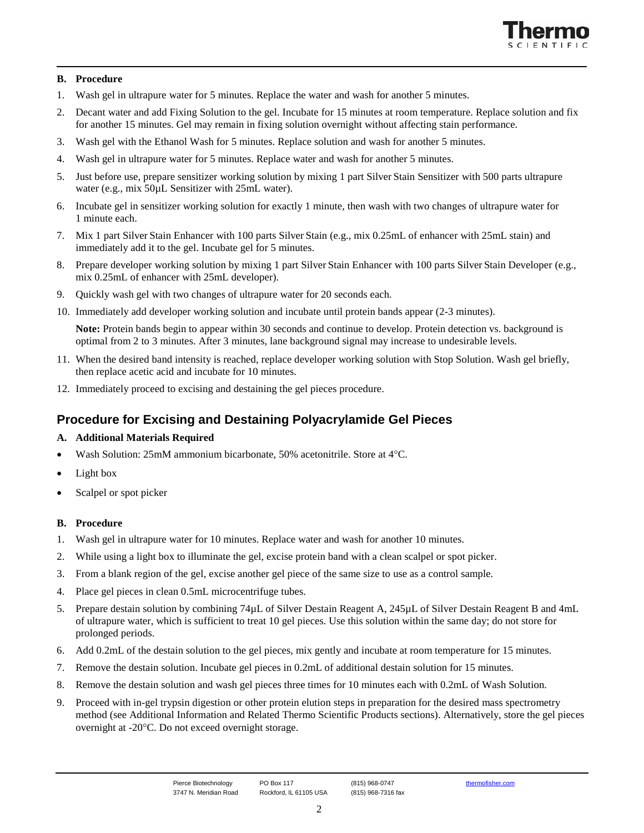

#### **B. Procedure**

- 1. Wash gel in ultrapure water for 5 minutes. Replace the water and wash for another 5 minutes.
- 2. Decant water and add Fixing Solution to the gel. Incubate for 15 minutes at room temperature. Replace solution and fix for another 15 minutes. Gel may remain in fixing solution overnight without affecting stain performance.
- 3. Wash gel with the Ethanol Wash for 5 minutes. Replace solution and wash for another 5 minutes.
- 4. Wash gel in ultrapure water for 5 minutes. Replace water and wash for another 5 minutes.
- 5. Just before use, prepare sensitizer working solution by mixing 1 part Silver Stain Sensitizer with 500 parts ultrapure water (e.g., mix 50 $\mu$ L Sensitizer with 25mL water).
- 6. Incubate gel in sensitizer working solution for exactly 1 minute, then wash with two changes of ultrapure water for 1 minute each.
- 7. Mix 1 part Silver Stain Enhancer with 100 parts Silver Stain (e.g., mix 0.25mL of enhancer with 25mL stain) and immediately add it to the gel. Incubate gel for 5 minutes.
- 8. Prepare developer working solution by mixing 1 part Silver Stain Enhancer with 100 parts Silver Stain Developer (e.g., mix 0.25mL of enhancer with 25mL developer).
- 9. Quickly wash gel with two changes of ultrapure water for 20 seconds each.
- 10. Immediately add developer working solution and incubate until protein bands appear (2-3 minutes).

**Note:** Protein bands begin to appear within 30 seconds and continue to develop. Protein detection vs. background is optimal from 2 to 3 minutes. After 3 minutes, lane background signal may increase to undesirable levels.

- 11. When the desired band intensity is reached, replace developer working solution with Stop Solution. Wash gel briefly, then replace acetic acid and incubate for 10 minutes.
- 12. Immediately proceed to excising and destaining the gel pieces procedure.

# **Procedure for Excising and Destaining Polyacrylamide Gel Pieces**

#### **A. Additional Materials Required**

- Wash Solution: 25mM ammonium bicarbonate, 50% acetonitrile. Store at 4°C.
- Light box
- Scalpel or spot picker

#### **B. Procedure**

- 1. Wash gel in ultrapure water for 10 minutes. Replace water and wash for another 10 minutes.
- 2. While using a light box to illuminate the gel, excise protein band with a clean scalpel or spot picker.
- 3. From a blank region of the gel, excise another gel piece of the same size to use as a control sample.
- 4. Place gel pieces in clean 0.5mL microcentrifuge tubes.
- 5. Prepare destain solution by combining 74µL of Silver Destain Reagent A, 245µL of Silver Destain Reagent B and 4mL of ultrapure water, which is sufficient to treat 10 gel pieces. Use this solution within the same day; do not store for prolonged periods.
- 6. Add 0.2mL of the destain solution to the gel pieces, mix gently and incubate at room temperature for 15 minutes.
- 7. Remove the destain solution. Incubate gel pieces in 0.2mL of additional destain solution for 15 minutes.
- 8. Remove the destain solution and wash gel pieces three times for 10 minutes each with 0.2mL of Wash Solution.
- 9. Proceed with in-gel trypsin digestion or other protein elution steps in preparation for the desired mass spectrometry method (see Additional Information and Related Thermo Scientific Products sections). Alternatively, store the gel pieces overnight at -20°C. Do not exceed overnight storage.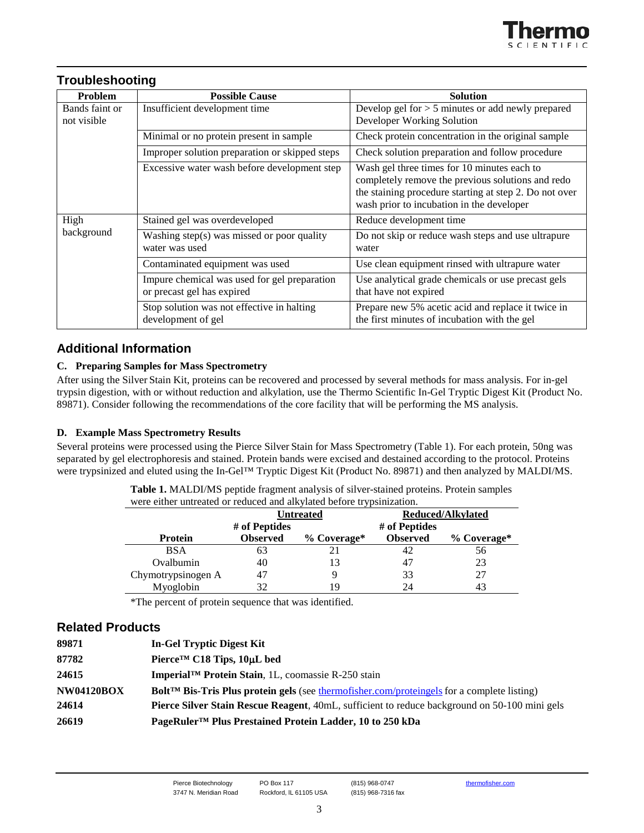

# **Troubleshooting**

| Problem                       | <b>Possible Cause</b>                                                      | <b>Solution</b>                                                                                                                                                                                         |  |
|-------------------------------|----------------------------------------------------------------------------|---------------------------------------------------------------------------------------------------------------------------------------------------------------------------------------------------------|--|
| Bands faint or<br>not visible | Insufficient development time                                              | Develop gel for $> 5$ minutes or add newly prepared<br>Developer Working Solution                                                                                                                       |  |
|                               | Minimal or no protein present in sample                                    | Check protein concentration in the original sample                                                                                                                                                      |  |
|                               | Improper solution preparation or skipped steps                             | Check solution preparation and follow procedure                                                                                                                                                         |  |
|                               | Excessive water wash before development step                               | Wash gel three times for 10 minutes each to<br>completely remove the previous solutions and redo<br>the staining procedure starting at step 2. Do not over<br>wash prior to incubation in the developer |  |
| High<br>background            | Stained gel was overdeveloped                                              | Reduce development time                                                                                                                                                                                 |  |
|                               | Washing step(s) was missed or poor quality<br>water was used               | Do not skip or reduce wash steps and use ultrapure<br>water                                                                                                                                             |  |
|                               | Contaminated equipment was used                                            | Use clean equipment rinsed with ultrapure water                                                                                                                                                         |  |
|                               | Impure chemical was used for gel preparation<br>or precast gel has expired | Use analytical grade chemicals or use precast gels<br>that have not expired                                                                                                                             |  |
|                               | Stop solution was not effective in halting<br>development of gel           | Prepare new 5% acetic acid and replace it twice in<br>the first minutes of incubation with the gel                                                                                                      |  |

# **Additional Information**

## **C. Preparing Samples for Mass Spectrometry**

After using the Silver Stain Kit, proteins can be recovered and processed by several methods for mass analysis. For in-gel trypsin digestion, with or without reduction and alkylation, use the Thermo Scientific In-Gel Tryptic Digest Kit (Product No. 89871). Consider following the recommendations of the core facility that will be performing the MS analysis.

## **D. Example Mass Spectrometry Results**

Several proteins were processed using the Pierce Silver Stain for Mass Spectrometry (Table 1). For each protein, 50ng was separated by gel electrophoresis and stained. Protein bands were excised and destained according to the protocol. Proteins were trypsinized and eluted using the In-Gel™ Tryptic Digest Kit (Product No. 89871) and then analyzed by MALDI/MS.

| were either untreated or reduced and alkylated before trypsinization. |                 |                  |                          |             |  |  |
|-----------------------------------------------------------------------|-----------------|------------------|--------------------------|-------------|--|--|
|                                                                       |                 | <b>Untreated</b> | <b>Reduced/Alkylated</b> |             |  |  |
| # of Peptides                                                         |                 |                  | # of Peptides            |             |  |  |
| Protein                                                               | <b>Observed</b> | $%$ Coverage*    | <b>Observed</b>          | % Coverage* |  |  |
| <b>BSA</b>                                                            | 63              |                  | 42                       | 56          |  |  |
| Ovalbumin                                                             | 40              | 13               | 47                       | 23          |  |  |
| Chymotrypsinogen A                                                    | 47              |                  | 33                       | 27          |  |  |
| Myoglobin                                                             | 32              | 19               | 24                       | 43          |  |  |

**Table 1.** MALDI/MS peptide fragment analysis of silver-stained proteins. Protein samples educed and alkylated before trypsinization.

\*The percent of protein sequence that was identified.

## **Related Products**

| 89871             | In-Gel Tryptic Digest Kit                                                                                     |
|-------------------|---------------------------------------------------------------------------------------------------------------|
| 87782             | Pierce <sup>TM</sup> C18 Tips, $10\mu L$ bed                                                                  |
| 24615             | Imperial™ Protein Stain, 1L, coomassie R-250 stain                                                            |
| <b>NW04120BOX</b> | <b>Bolt<sup>TM</sup></b> Bis-Tris Plus protein gels (see thermofisher.com/proteingels for a complete listing) |
| 24614             | <b>Pierce Silver Stain Rescue Reagent, 40mL, sufficient to reduce background on 50-100 mini gels</b>          |
| 26619             | PageRuler <sup>™</sup> Plus Prestained Protein Ladder, 10 to 250 kDa                                          |